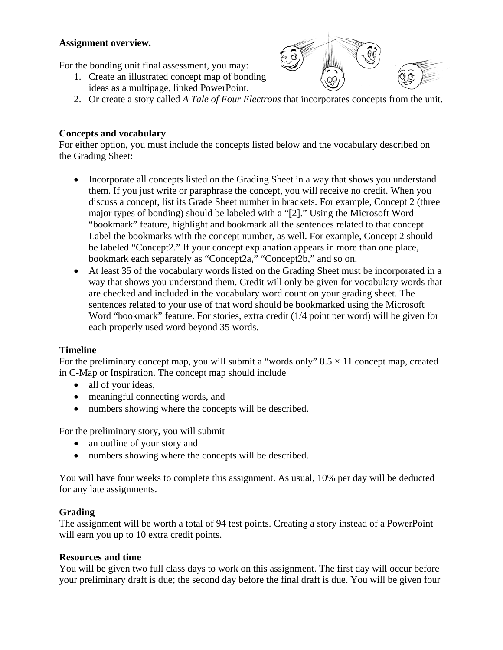## **Assignment overview.**

For the bonding unit final assessment, you may:

- 1. Create an illustrated concept map of bonding ideas as a multipage, linked PowerPoint.
- 



#### **Concepts and vocabulary**

For either option, you must include the concepts listed below and the vocabulary described on the Grading Sheet:

- Incorporate all concepts listed on the Grading Sheet in a way that shows you understand them. If you just write or paraphrase the concept, you will receive no credit. When you discuss a concept, list its Grade Sheet number in brackets. For example, Concept 2 (three major types of bonding) should be labeled with a "[2]." Using the Microsoft Word "bookmark" feature, highlight and bookmark all the sentences related to that concept. Label the bookmarks with the concept number, as well. For example, Concept 2 should be labeled "Concept2." If your concept explanation appears in more than one place, bookmark each separately as "Concept2a," "Concept2b," and so on.
- At least 35 of the vocabulary words listed on the Grading Sheet must be incorporated in a way that shows you understand them. Credit will only be given for vocabulary words that are checked and included in the vocabulary word count on your grading sheet. The sentences related to your use of that word should be bookmarked using the Microsoft Word "bookmark" feature. For stories, extra credit (1/4 point per word) will be given for each properly used word beyond 35 words.

## **Timeline**

For the preliminary concept map, you will submit a "words only"  $8.5 \times 11$  concept map, created in C-Map or Inspiration. The concept map should include

- all of your ideas,
- meaningful connecting words, and
- numbers showing where the concepts will be described.

For the preliminary story, you will submit

- an outline of your story and
- numbers showing where the concepts will be described.

You will have four weeks to complete this assignment. As usual, 10% per day will be deducted for any late assignments.

## **Grading**

The assignment will be worth a total of 94 test points. Creating a story instead of a PowerPoint will earn you up to 10 extra credit points.

#### **Resources and time**

You will be given two full class days to work on this assignment. The first day will occur before your preliminary draft is due; the second day before the final draft is due. You will be given four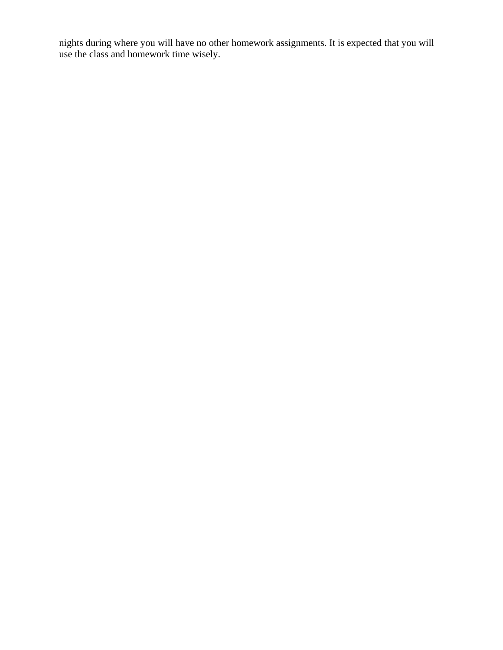nights during where you will have no other homework assignments. It is expected that you will use the class and homework time wisely.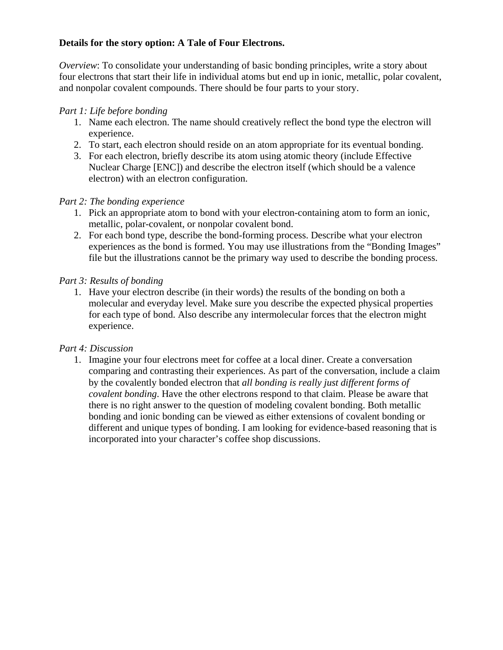## **Details for the story option: A Tale of Four Electrons.**

*Overview*: To consolidate your understanding of basic bonding principles, write a story about four electrons that start their life in individual atoms but end up in ionic, metallic, polar covalent, and nonpolar covalent compounds. There should be four parts to your story.

# *Part 1: Life before bonding*

- 1. Name each electron. The name should creatively reflect the bond type the electron will experience.
- 2. To start, each electron should reside on an atom appropriate for its eventual bonding.
- 3. For each electron, briefly describe its atom using atomic theory (include Effective Nuclear Charge [ENC]) and describe the electron itself (which should be a valence electron) with an electron configuration.

# *Part 2: The bonding experience*

- 1. Pick an appropriate atom to bond with your electron-containing atom to form an ionic, metallic, polar-covalent, or nonpolar covalent bond.
- 2. For each bond type, describe the bond-forming process. Describe what your electron experiences as the bond is formed. You may use illustrations from the "Bonding Images" file but the illustrations cannot be the primary way used to describe the bonding process.

# *Part 3: Results of bonding*

1. Have your electron describe (in their words) the results of the bonding on both a molecular and everyday level. Make sure you describe the expected physical properties for each type of bond. Also describe any intermolecular forces that the electron might experience.

## *Part 4: Discussion*

1. Imagine your four electrons meet for coffee at a local diner. Create a conversation comparing and contrasting their experiences. As part of the conversation, include a claim by the covalently bonded electron that *all bonding is really just different forms of covalent bonding*. Have the other electrons respond to that claim. Please be aware that there is no right answer to the question of modeling covalent bonding. Both metallic bonding and ionic bonding can be viewed as either extensions of covalent bonding or different and unique types of bonding. I am looking for evidence-based reasoning that is incorporated into your character's coffee shop discussions.